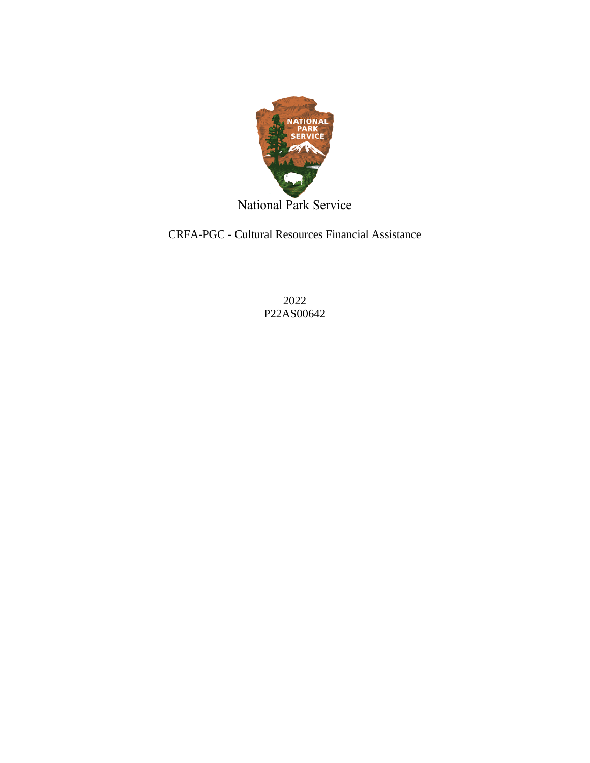

National Park Service

CRFA-PGC - Cultural Resources Financial Assistance

2022 P22AS00642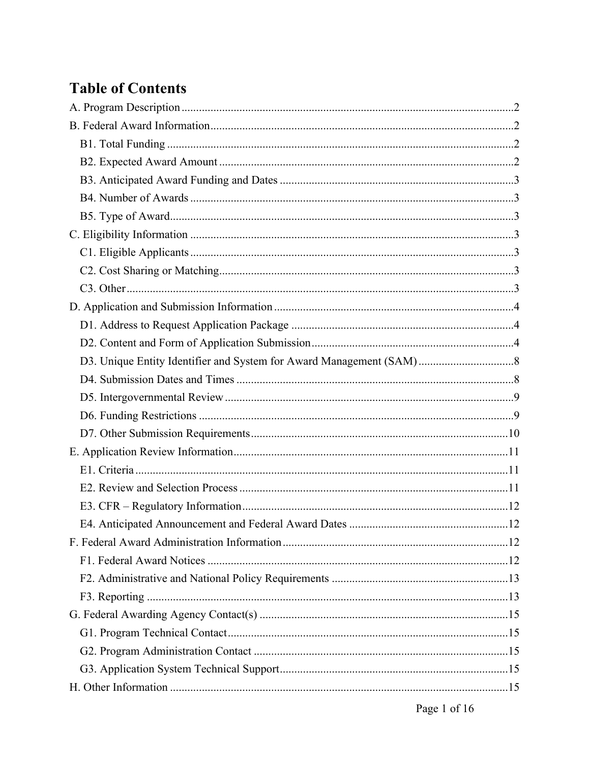# **Table of Contents**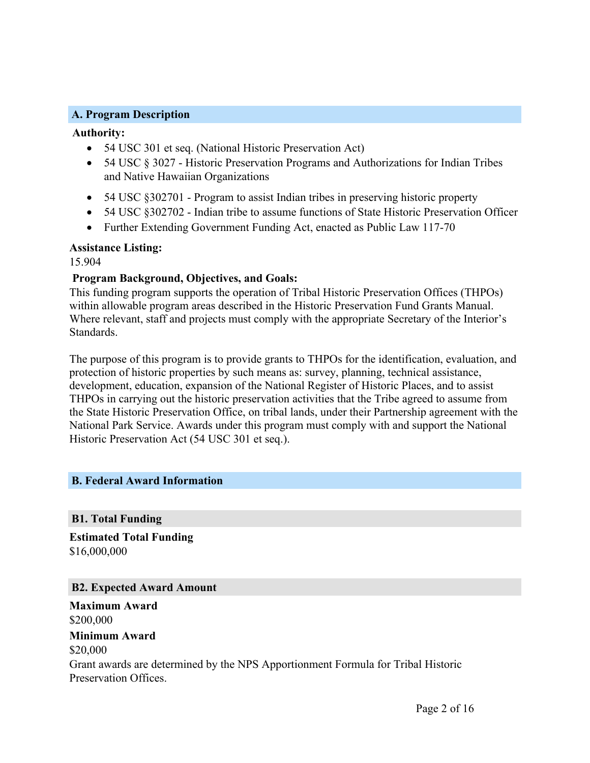#### <span id="page-2-0"></span>**A. Program Description**

#### **Authority:**

- 54 USC 301 et seq. (National Historic Preservation Act)
- 54 USC  $\S 3027$  Historic Preservation Programs and Authorizations for Indian Tribes and Native Hawaiian Organizations
- 54 USC §302701 Program to assist Indian tribes in preserving historic property
- 54 USC §302702 Indian tribe to assume functions of State Historic Preservation Officer
- Further Extending Government Funding Act, enacted as Public Law 117-70

#### **Assistance Listing:**

15.904

## **Program Background, Objectives, and Goals:**

This funding program supports the operation of Tribal Historic Preservation Offices (THPOs) within allowable program areas described in the Historic Preservation Fund Grants Manual. Where relevant, staff and projects must comply with the appropriate Secretary of the Interior's Standards.

The purpose of this program is to provide grants to THPOs for the identification, evaluation, and protection of historic properties by such means as: survey, planning, technical assistance, development, education, expansion of the National Register of Historic Places, and to assist THPOs in carrying out the historic preservation activities that the Tribe agreed to assume from the State Historic Preservation Office, on tribal lands, under their Partnership agreement with the National Park Service. Awards under this program must comply with and support the National Historic Preservation Act (54 USC 301 et seq.).

## <span id="page-2-1"></span>**B. Federal Award Information**

## <span id="page-2-2"></span>**B1. Total Funding**

**Estimated Total Funding** \$16,000,000

<span id="page-2-3"></span>**B2. Expected Award Amount**

**Maximum Award** \$200,000

# **Minimum Award**

\$20,000 Grant awards are determined by the NPS Apportionment Formula for Tribal Historic Preservation Offices.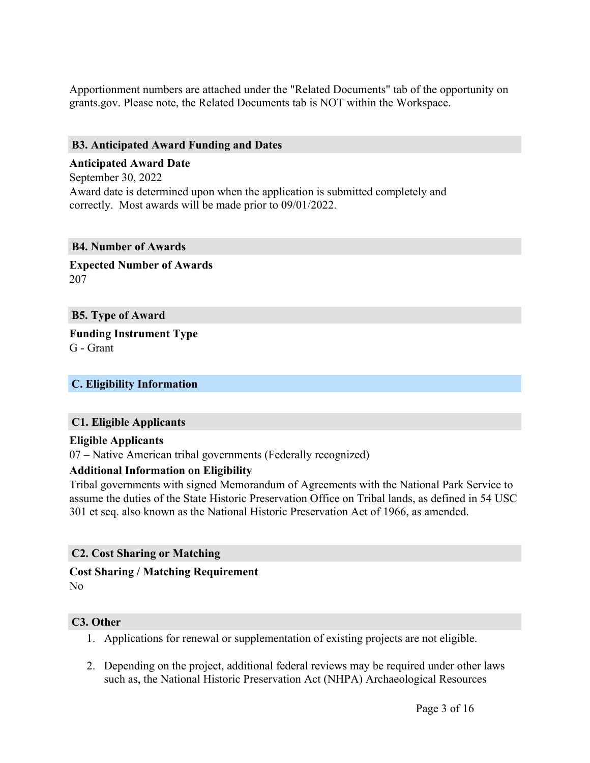Apportionment numbers are attached under the "Related Documents" tab of the opportunity on grants.gov. Please note, the Related Documents tab is NOT within the Workspace.

## <span id="page-3-0"></span>**B3. Anticipated Award Funding and Dates**

# **Anticipated Award Date** September 30, 2022 Award date is determined upon when the application is submitted completely and correctly. Most awards will be made prior to 09/01/2022.

#### <span id="page-3-1"></span>**B4. Number of Awards**

**Expected Number of Awards** 207

## <span id="page-3-2"></span>**B5. Type of Award**

**Funding Instrument Type** G - Grant

## <span id="page-3-3"></span>**C. Eligibility Information**

## <span id="page-3-4"></span>**C1. Eligible Applicants**

## **Eligible Applicants**

07 – Native American tribal governments (Federally recognized)

## **Additional Information on Eligibility**

Tribal governments with signed Memorandum of Agreements with the National Park Service to assume the duties of the State Historic Preservation Office on Tribal lands, as defined in 54 USC 301 et seq. also known as the National Historic Preservation Act of 1966, as amended.

## <span id="page-3-5"></span>**C2. Cost Sharing or Matching**

## **Cost Sharing / Matching Requirement**

No

## <span id="page-3-6"></span>**C3. Other**

- 1. Applications for renewal or supplementation of existing projects are not eligible.
- 2. Depending on the project, additional federal reviews may be required under other laws such as, the National Historic Preservation Act (NHPA) Archaeological Resources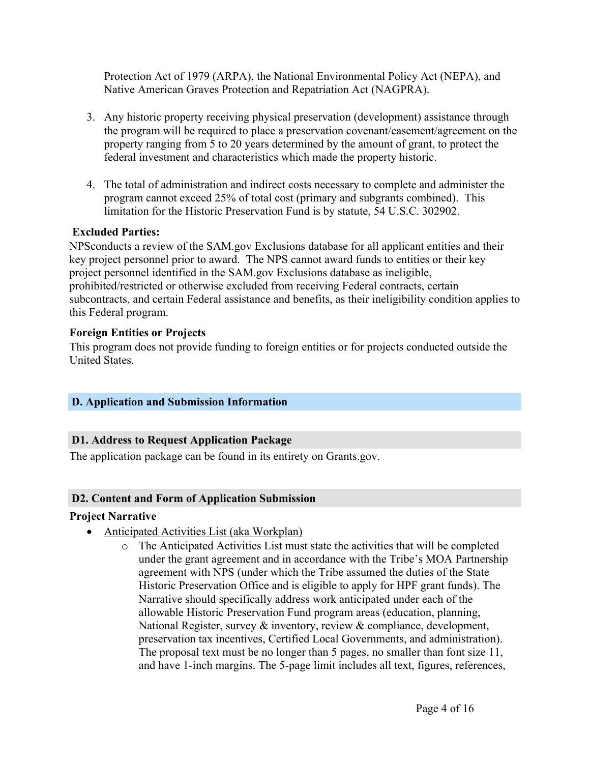Protection Act of 1979 (ARPA), the National Environmental Policy Act (NEPA), and Native American Graves Protection and Repatriation Act (NAGPRA).

- 3. Any historic property receiving physical preservation (development) assistance through the program will be required to place a preservation covenant/easement/agreement on the property ranging from 5 to 20 years determined by the amount of grant, to protect the federal investment and characteristics which made the property historic.
- 4. The total of administration and indirect costs necessary to complete and administer the program cannot exceed 25% of total cost (primary and subgrants combined). This limitation for the Historic Preservation Fund is by statute, 54 U.S.C. 302902.

## **Excluded Parties:**

NPSconducts a review of the SAM.gov Exclusions database for all applicant entities and their key project personnel prior to award. The NPS cannot award funds to entities or their key project personnel identified in the SAM.gov Exclusions database as ineligible, prohibited/restricted or otherwise excluded from receiving Federal contracts, certain subcontracts, and certain Federal assistance and benefits, as their ineligibility condition applies to this Federal program.

## **Foreign Entities or Projects**

This program does not provide funding to foreign entities or for projects conducted outside the United States.

# <span id="page-4-0"></span>**D. Application and Submission Information**

# <span id="page-4-1"></span>**D1. Address to Request Application Package**

The application package can be found in its entirety on Grants.gov.

## <span id="page-4-2"></span>**D2. Content and Form of Application Submission**

## **Project Narrative**

- Anticipated Activities List (aka Workplan)
	- o The Anticipated Activities List must state the activities that will be completed under the grant agreement and in accordance with the Tribe's MOA Partnership agreement with NPS (under which the Tribe assumed the duties of the State Historic Preservation Office and is eligible to apply for HPF grant funds). The Narrative should specifically address work anticipated under each of the allowable Historic Preservation Fund program areas (education, planning, National Register, survey & inventory, review & compliance, development, preservation tax incentives, Certified Local Governments, and administration). The proposal text must be no longer than 5 pages, no smaller than font size 11, and have 1-inch margins. The 5-page limit includes all text, figures, references,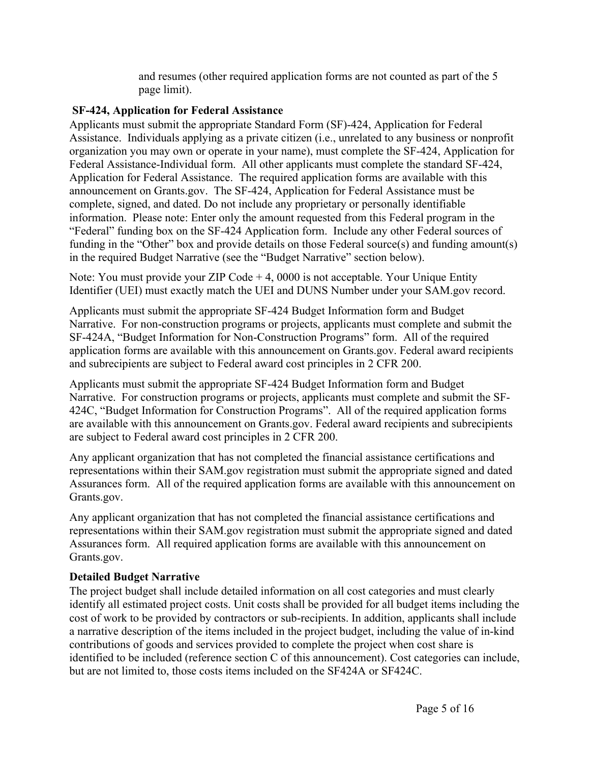and resumes (other required application forms are not counted as part of the 5 page limit).

## **SF-424, Application for Federal Assistance**

Applicants must submit the appropriate Standard Form (SF)-424, Application for Federal Assistance. Individuals applying as a private citizen (i.e., unrelated to any business or nonprofit organization you may own or operate in your name), must complete the SF-424, Application for Federal Assistance-Individual form. All other applicants must complete the standard SF-424, Application for Federal Assistance. The required application forms are available with this announcement on Grants.gov. The SF-424, Application for Federal Assistance must be complete, signed, and dated. Do not include any proprietary or personally identifiable information. Please note: Enter only the amount requested from this Federal program in the "Federal" funding box on the SF-424 Application form. Include any other Federal sources of funding in the "Other" box and provide details on those Federal source(s) and funding amount(s) in the required Budget Narrative (see the "Budget Narrative" section below).

Note: You must provide your ZIP Code + 4, 0000 is not acceptable. Your Unique Entity Identifier (UEI) must exactly match the UEI and DUNS Number under your SAM.gov record.

Applicants must submit the appropriate SF-424 Budget Information form and Budget Narrative. For non-construction programs or projects, applicants must complete and submit the SF-424A, "Budget Information for Non-Construction Programs" form. All of the required application forms are available with this announcement on Grants.gov. Federal award recipients and subrecipients are subject to Federal award cost principles in 2 CFR 200.

Applicants must submit the appropriate SF-424 Budget Information form and Budget Narrative. For construction programs or projects, applicants must complete and submit the SF-424C, "Budget Information for Construction Programs". All of the required application forms are available with this announcement on Grants.gov. Federal award recipients and subrecipients are subject to Federal award cost principles in 2 CFR 200.

Any applicant organization that has not completed the financial assistance certifications and representations within their SAM.gov registration must submit the appropriate signed and dated Assurances form. All of the required application forms are available with this announcement on Grants.gov.

Any applicant organization that has not completed the financial assistance certifications and representations within their SAM.gov registration must submit the appropriate signed and dated Assurances form. All required application forms are available with this announcement on Grants.gov.

# **Detailed Budget Narrative**

The project budget shall include detailed information on all cost categories and must clearly identify all estimated project costs. Unit costs shall be provided for all budget items including the cost of work to be provided by contractors or sub-recipients. In addition, applicants shall include a narrative description of the items included in the project budget, including the value of in-kind contributions of goods and services provided to complete the project when cost share is identified to be included (reference section C of this announcement). Cost categories can include, but are not limited to, those costs items included on the SF424A or SF424C.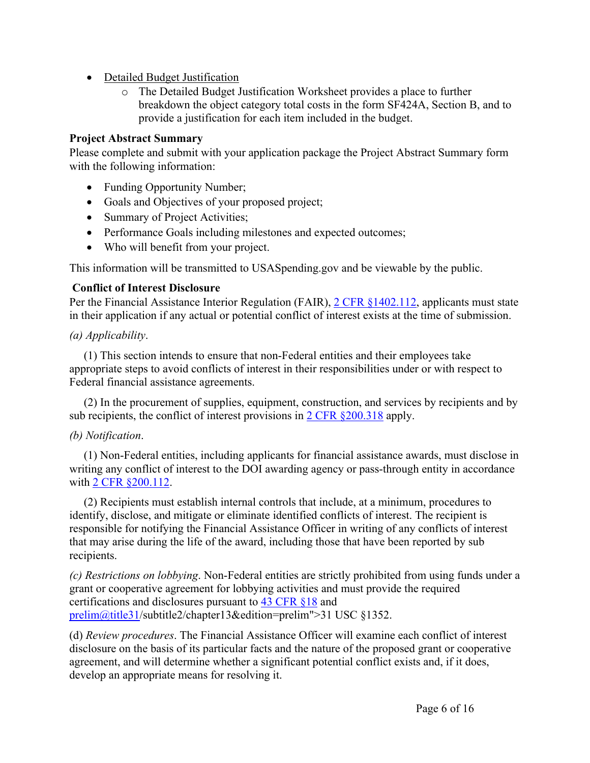- Detailed Budget Justification
	- o The Detailed Budget Justification Worksheet provides a place to further breakdown the object category total costs in the form SF424A, Section B, and to provide a justification for each item included in the budget.

# **Project Abstract Summary**

Please complete and submit with your application package the Project Abstract Summary form with the following information:

- Funding Opportunity Number;
- Goals and Objectives of your proposed project;
- Summary of Project Activities;
- Performance Goals including milestones and expected outcomes;
- Who will benefit from your project.

This information will be transmitted to USASpending.gov and be viewable by the public.

# **Conflict of Interest Disclosure**

Per the Financial Assistance Interior Regulation (FAIR), 2 CFR [§1402.112](https://ecfr.federalregister.gov/current/title-2/subtitle-B/chapter-XIV/part-1402/subpart-B), applicants must state in their application if any actual or potential conflict of interest exists at the time of submission.

# *(a) Applicability*.

(1) This section intends to ensure that non-Federal entities and their employees take appropriate steps to avoid conflicts of interest in their responsibilities under or with respect to Federal financial assistance agreements.

(2) In the procurement of supplies, equipment, construction, and services by recipients and by sub recipients, the conflict of interest provisions in 2 CFR [§200.318](https://www.ecfr.gov/cgi-bin/text-idx?node=sp2.1.200.d&rgn=div6#se2.1.200_1318) apply.

# *(b) Notification*.

(1) Non-Federal entities, including applicants for financial assistance awards, must disclose in writing any conflict of interest to the DOI awarding agency or pass-through entity in accordance with 2 CFR [§200.112](https://www.ecfr.gov/cgi-bin/text-idx?node=pt2.1.200&rgn=div5#se2.1.200_1112).

(2) Recipients must establish internal controls that include, at a minimum, procedures to identify, disclose, and mitigate or eliminate identified conflicts of interest. The recipient is responsible for notifying the Financial Assistance Officer in writing of any conflicts of interest that may arise during the life of the award, including those that have been reported by sub recipients.

*(c) Restrictions on lobbying*. Non-Federal entities are strictly prohibited from using funds under a grant or cooperative agreement for lobbying activities and must provide the required certifications and disclosures pursuant to 43 [CFR](https://www.ecfr.gov/cgi-bin/text-idx?node=pt43.1.18&rgn=div5) §18 and [prelim@title31](https://uscode.house.gov/view.xhtml?path=/<a href=)/subtitle2/chapter13&edition=prelim">31 USC §1352.

(d) *Review procedures*. The Financial Assistance Officer will examine each conflict of interest disclosure on the basis of its particular facts and the nature of the proposed grant or cooperative agreement, and will determine whether a significant potential conflict exists and, if it does, develop an appropriate means for resolving it.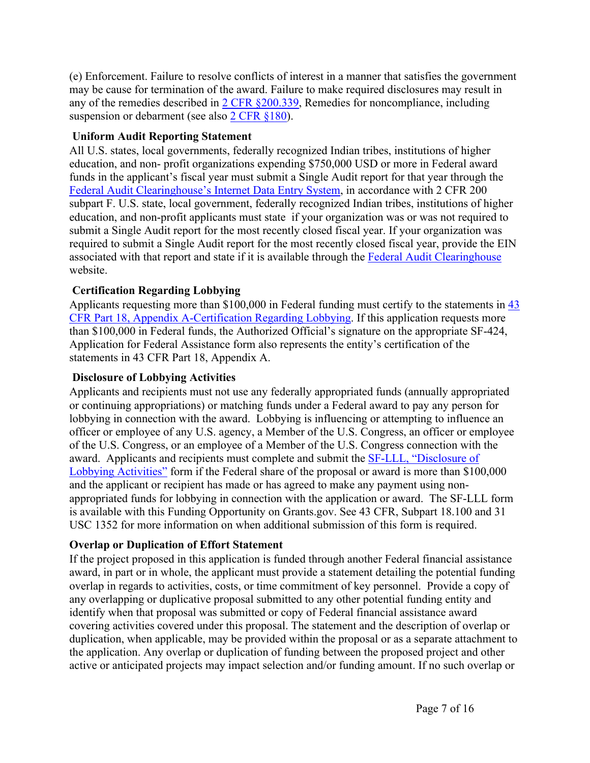(e) Enforcement. Failure to resolve conflicts of interest in a manner that satisfies the government may be cause for termination of the award. Failure to make required disclosures may result in any of the remedies described in 2 CFR [§200.339](https://www.ecfr.gov/cgi-bin/text-idx?node=sp2.1.200.d&rgn=div6#se2.1.200_1339), Remedies for noncompliance, including suspension or debarment (see also 2 CFR [§180\)](https://www.ecfr.gov/cgi-bin/text-idx?tpl=/ecfrbrowse/Title02/2cfr180_main_02.tpl).

## **Uniform Audit Reporting Statement**

All U.S. states, local governments, federally recognized Indian tribes, institutions of higher education, and non- profit organizations expending \$750,000 USD or more in Federal award funds in the applicant's fiscal year must submit a Single Audit report for that year through the Federal Audit [Clearinghouse's](https://harvester.census.gov/facides/Account/Login.aspx) Internet Data Entry System, in accordance with 2 CFR 200 subpart F. U.S. state, local government, federally recognized Indian tribes, institutions of higher education, and non-profit applicants must state if your organization was or was not required to submit a Single Audit report for the most recently closed fiscal year. If your organization was required to submit a Single Audit report for the most recently closed fiscal year, provide the EIN associated with that report and state if it is available through the Federal Audit [Clearinghouse](https://harvester.census.gov/facdissem/Main.aspx) website.

# **Certification Regarding Lobbying**

Applicants requesting more than \$100,000 in Federal funding must certify to the statements in [43](http://www.ecfr.gov/cgi-bin/text-idx?SID=683823273fc0da6a1060883eda593fb8&mc=true&node=pt43.1.18&rgn=div5) CFR Part 18, Appendix [A-Certification](http://www.ecfr.gov/cgi-bin/text-idx?SID=683823273fc0da6a1060883eda593fb8&mc=true&node=pt43.1.18&rgn=div5) Regarding Lobbying. If this application requests more than \$100,000 in Federal funds, the Authorized Official's signature on the appropriate SF-424, Application for Federal Assistance form also represents the entity's certification of the statements in 43 CFR Part 18, Appendix A.

## **Disclosure of Lobbying Activities**

Applicants and recipients must not use any federally appropriated funds (annually appropriated or continuing appropriations) or matching funds under a Federal award to pay any person for lobbying in connection with the award. Lobbying is influencing or attempting to influence an officer or employee of any U.S. agency, a Member of the U.S. Congress, an officer or employee of the U.S. Congress, or an employee of a Member of the U.S. Congress connection with the award. Applicants and recipients must complete and submit the SF-LLL, ["Disclosure](https://www.grants.gov/web/grants/forms/post-award-reporting-forms.html) of Lobbying [Activities"](https://www.grants.gov/web/grants/forms/post-award-reporting-forms.html) form if the Federal share of the proposal or award is more than \$100,000 and the applicant or recipient has made or has agreed to make any payment using nonappropriated funds for lobbying in connection with the application or award. The SF-LLL form is available with this Funding Opportunity on Grants.gov. See 43 CFR, Subpart 18.100 and 31 USC 1352 for more information on when additional submission of this form is required.

# **Overlap or Duplication of Effort Statement**

If the project proposed in this application is funded through another Federal financial assistance award, in part or in whole, the applicant must provide a statement detailing the potential funding overlap in regards to activities, costs, or time commitment of key personnel. Provide a copy of any overlapping or duplicative proposal submitted to any other potential funding entity and identify when that proposal was submitted or copy of Federal financial assistance award covering activities covered under this proposal. The statement and the description of overlap or duplication, when applicable, may be provided within the proposal or as a separate attachment to the application. Any overlap or duplication of funding between the proposed project and other active or anticipated projects may impact selection and/or funding amount. If no such overlap or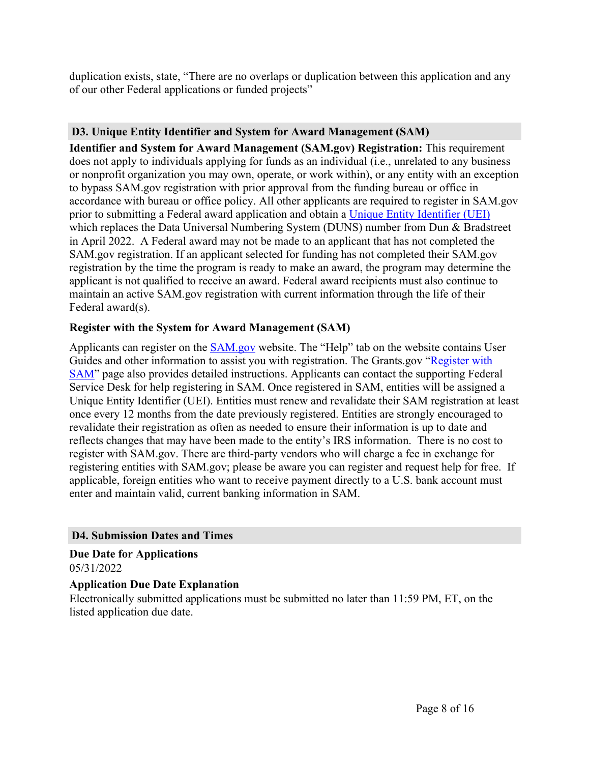duplication exists, state, "There are no overlaps or duplication between this application and any of our other Federal applications or funded projects"

## <span id="page-8-0"></span>**D3. Unique Entity Identifier and System for Award Management (SAM)**

**Identifier and System for Award Management (SAM.gov) Registration:** This requirement does not apply to individuals applying for funds as an individual (i.e., unrelated to any business or nonprofit organization you may own, operate, or work within), or any entity with an exception to bypass SAM.gov registration with prior approval from the funding bureau or office in accordance with bureau or office policy. All other applicants are required to register in SAM.gov prior to submitting a Federal award application and obtain a Unique Entity [Identifier](https://www.gsa.gov/about-us/organization/federal-acquisition-service/office-of-systems-management/integrated-award-environment-iae/iae-systems-information-kit/unique-entity-identifier-update) (UEI) which replaces the Data Universal Numbering System (DUNS) number from Dun & Bradstreet in April 2022. A Federal award may not be made to an applicant that has not completed the SAM.gov registration. If an applicant selected for funding has not completed their SAM.gov registration by the time the program is ready to make an award, the program may determine the applicant is not qualified to receive an award. Federal award recipients must also continue to maintain an active SAM.gov registration with current information through the life of their Federal award(s).

## **Register with the System for Award Management (SAM)**

Applicants can register on the [SAM.gov](http://www.sam.gov) website. The "Help" tab on the website contains User Guides and other information to assist you with registration. The Grants.gov "[Register](https://www.grants.gov/help/html/help/Register/RegisterWithSAM.htm) with [SAM](https://www.grants.gov/help/html/help/Register/RegisterWithSAM.htm)" page also provides detailed instructions. Applicants can contact the supporting Federal Service Desk for help registering in SAM. Once registered in SAM, entities will be assigned a Unique Entity Identifier (UEI). Entities must renew and revalidate their SAM registration at least once every 12 months from the date previously registered. Entities are strongly encouraged to revalidate their registration as often as needed to ensure their information is up to date and reflects changes that may have been made to the entity's IRS information. There is no cost to register with SAM.gov. There are third-party vendors who will charge a fee in exchange for registering entities with SAM.gov; please be aware you can register and request help for free. If applicable, foreign entities who want to receive payment directly to a U.S. bank account must enter and maintain valid, current banking information in SAM.

## <span id="page-8-1"></span>**D4. Submission Dates and Times**

#### **Due Date for Applications** 05/31/2022

## **Application Due Date Explanation**

Electronically submitted applications must be submitted no later than 11:59 PM, ET, on the listed application due date.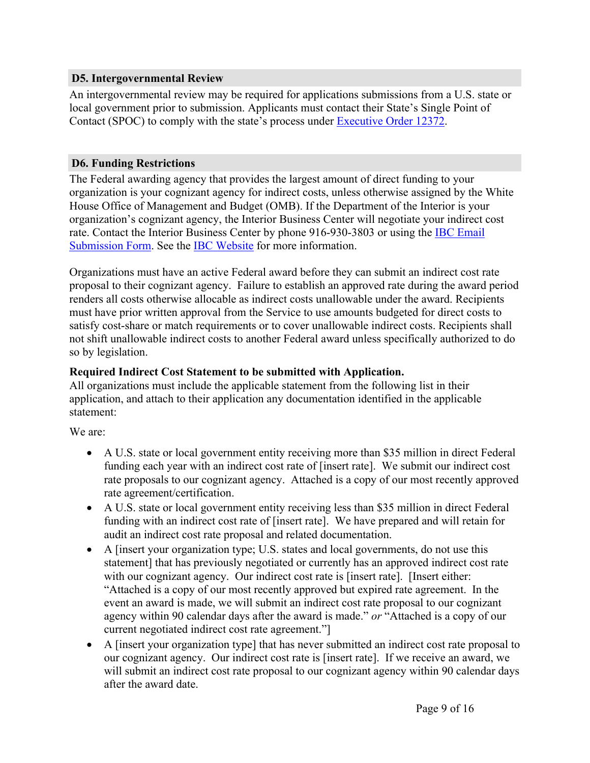#### <span id="page-9-0"></span>**D5. Intergovernmental Review**

An intergovernmental review may be required for applications submissions from a U.S. state or local government prior to submission. Applicants must contact their State's Single Point of Contact (SPOC) to comply with the state's process under [Executive](https://www.archives.gov/federal-register/codification/executive-order/12372.html)) Order 12372.

## <span id="page-9-1"></span>**D6. Funding Restrictions**

The Federal awarding agency that provides the largest amount of direct funding to your organization is your cognizant agency for indirect costs, unless otherwise assigned by the White House Office of Management and Budget (OMB). If the Department of the Interior is your organization's cognizant agency, the Interior Business Center will negotiate your indirect cost rate. Contact the Interior Business Center by phone 916-930-3803 or using the **IBC [Email](https://www.doi.gov/ibc/contactus/icsfeedback)** [Submission](https://www.doi.gov/ibc/contactus/icsfeedback) Form. See the IBC [Website](https://www.doi.gov/ibc/services/finance/indirect-cost-services) for more information.

Organizations must have an active Federal award before they can submit an indirect cost rate proposal to their cognizant agency. Failure to establish an approved rate during the award period renders all costs otherwise allocable as indirect costs unallowable under the award. Recipients must have prior written approval from the Service to use amounts budgeted for direct costs to satisfy cost-share or match requirements or to cover unallowable indirect costs. Recipients shall not shift unallowable indirect costs to another Federal award unless specifically authorized to do so by legislation.

## **Required Indirect Cost Statement to be submitted with Application.**

All organizations must include the applicable statement from the following list in their application, and attach to their application any documentation identified in the applicable statement:

We are:

- A U.S. state or local government entity receiving more than \$35 million in direct Federal funding each year with an indirect cost rate of [insert rate]. We submit our indirect cost rate proposals to our cognizant agency. Attached is a copy of our most recently approved rate agreement/certification.
- A U.S. state or local government entity receiving less than \$35 million in direct Federal funding with an indirect cost rate of [insert rate]. We have prepared and will retain for audit an indirect cost rate proposal and related documentation.
- A [insert your organization type; U.S. states and local governments, do not use this statement] that has previously negotiated or currently has an approved indirect cost rate with our cognizant agency. Our indirect cost rate is [insert rate]. [Insert either: "Attached is a copy of our most recently approved but expired rate agreement. In the event an award is made, we will submit an indirect cost rate proposal to our cognizant agency within 90 calendar days after the award is made." *or* "Attached is a copy of our current negotiated indirect cost rate agreement."]
- A [insert your organization type] that has never submitted an indirect cost rate proposal to our cognizant agency. Our indirect cost rate is [insert rate]. If we receive an award, we will submit an indirect cost rate proposal to our cognizant agency within 90 calendar days after the award date.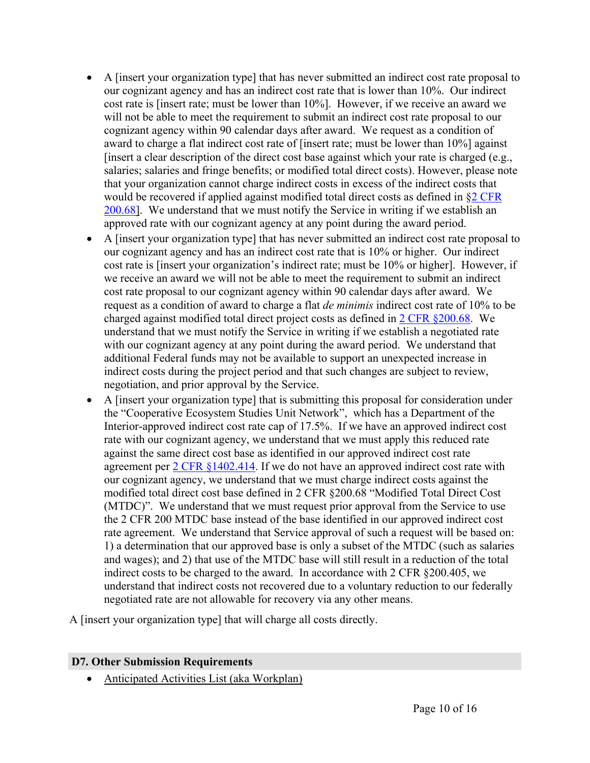- A [insert your organization type] that has never submitted an indirect cost rate proposal to our cognizant agency and has an indirect cost rate that is lower than 10%. Our indirect cost rate is [insert rate; must be lower than 10%]. However, if we receive an award we will not be able to meet the requirement to submit an indirect cost rate proposal to our cognizant agency within 90 calendar days after award. We request as a condition of award to charge a flat indirect cost rate of [insert rate; must be lower than 10%] against [insert a clear description of the direct cost base against which your rate is charged (e.g., salaries; salaries and fringe benefits; or modified total direct costs). However, please note that your organization cannot charge indirect costs in excess of the indirect costs that would be recovered if applied against modified total direct costs as defined in §2 [CFR](https://www.ecfr.gov/cgi-bin/text-idx?SID=0bb1f5386f36f965f85dc05b2ad8a804&mc=true&node=pt2.1.200&rgn=div5#se2.1.200_168) [200.68](https://www.ecfr.gov/cgi-bin/text-idx?SID=0bb1f5386f36f965f85dc05b2ad8a804&mc=true&node=pt2.1.200&rgn=div5#se2.1.200_168)]. We understand that we must notify the Service in writing if we establish an approved rate with our cognizant agency at any point during the award period.
- A [insert your organization type] that has never submitted an indirect cost rate proposal to our cognizant agency and has an indirect cost rate that is 10% or higher. Our indirect cost rate is [insert your organization's indirect rate; must be 10% or higher]. However, if we receive an award we will not be able to meet the requirement to submit an indirect cost rate proposal to our cognizant agency within 90 calendar days after award. We request as a condition of award to charge a flat *de minimis* indirect cost rate of 10% to be charged against modified total direct project costs as defined in 2 CFR [§200.68](https://www.ecfr.gov/cgi-bin/text-idx?SID=0bb1f5386f36f965f85dc05b2ad8a804&mc=true&node=pt2.1.200&rgn=div5#se2.1.200_168). We understand that we must notify the Service in writing if we establish a negotiated rate with our cognizant agency at any point during the award period. We understand that additional Federal funds may not be available to support an unexpected increase in indirect costs during the project period and that such changes are subject to review, negotiation, and prior approval by the Service.
- A [insert your organization type] that is submitting this proposal for consideration under the "Cooperative Ecosystem Studies Unit Network", which has a Department of the Interior-approved indirect cost rate cap of 17.5%. If we have an approved indirect cost rate with our cognizant agency, we understand that we must apply this reduced rate against the same direct cost base as identified in our approved indirect cost rate agreement per 2 CFR [§1402.414.](https://www.ecfr.gov/cgi-bin/text-idx?SID=1bfd0da1190f850482e94794cca23a5d&mc=true&node=20190830y1.1) If we do not have an approved indirect cost rate with our cognizant agency, we understand that we must charge indirect costs against the modified total direct cost base defined in 2 CFR §200.68 "Modified Total Direct Cost (MTDC)". We understand that we must request prior approval from the Service to use the 2 CFR 200 MTDC base instead of the base identified in our approved indirect cost rate agreement. We understand that Service approval of such a request will be based on: 1) a determination that our approved base is only a subset of the MTDC (such as salaries and wages); and 2) that use of the MTDC base will still result in a reduction of the total indirect costs to be charged to the award. In accordance with 2 CFR §200.405, we understand that indirect costs not recovered due to a voluntary reduction to our federally negotiated rate are not allowable for recovery via any other means.

A [insert your organization type] that will charge all costs directly.

## <span id="page-10-0"></span>**D7. Other Submission Requirements**

Anticipated Activities List (aka Workplan)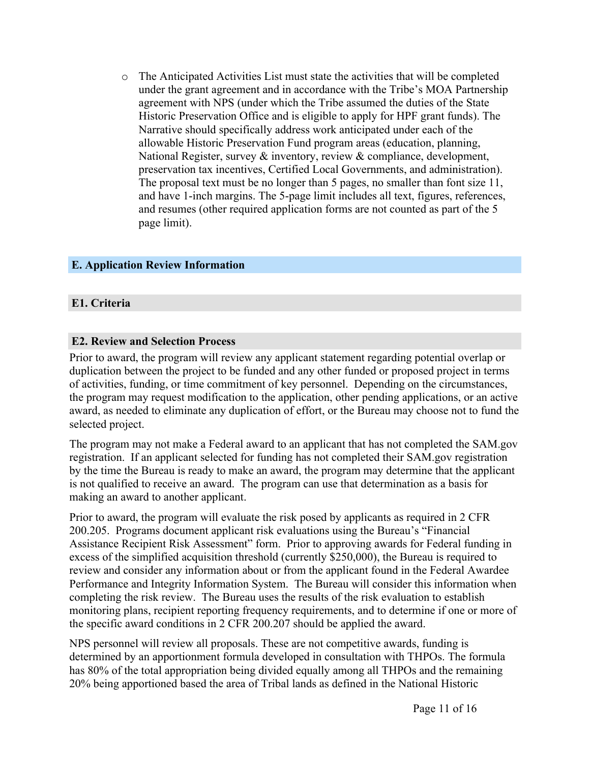o The Anticipated Activities List must state the activities that will be completed under the grant agreement and in accordance with the Tribe's MOA Partnership agreement with NPS (under which the Tribe assumed the duties of the State Historic Preservation Office and is eligible to apply for HPF grant funds). The Narrative should specifically address work anticipated under each of the allowable Historic Preservation Fund program areas (education, planning, National Register, survey & inventory, review & compliance, development, preservation tax incentives, Certified Local Governments, and administration). The proposal text must be no longer than 5 pages, no smaller than font size 11, and have 1-inch margins. The 5-page limit includes all text, figures, references, and resumes (other required application forms are not counted as part of the 5 page limit).

#### <span id="page-11-0"></span>**E. Application Review Information**

#### <span id="page-11-1"></span>**E1. Criteria**

#### <span id="page-11-2"></span>**E2. Review and Selection Process**

Prior to award, the program will review any applicant statement regarding potential overlap or duplication between the project to be funded and any other funded or proposed project in terms of activities, funding, or time commitment of key personnel. Depending on the circumstances, the program may request modification to the application, other pending applications, or an active award, as needed to eliminate any duplication of effort, or the Bureau may choose not to fund the selected project.

The program may not make a Federal award to an applicant that has not completed the SAM.gov registration. If an applicant selected for funding has not completed their SAM.gov registration by the time the Bureau is ready to make an award, the program may determine that the applicant is not qualified to receive an award. The program can use that determination as a basis for making an award to another applicant.

Prior to award, the program will evaluate the risk posed by applicants as required in 2 CFR 200.205. Programs document applicant risk evaluations using the Bureau's "Financial Assistance Recipient Risk Assessment" form. Prior to approving awards for Federal funding in excess of the simplified acquisition threshold (currently \$250,000), the Bureau is required to review and consider any information about or from the applicant found in the Federal Awardee Performance and Integrity Information System. The Bureau will consider this information when completing the risk review. The Bureau uses the results of the risk evaluation to establish monitoring plans, recipient reporting frequency requirements, and to determine if one or more of the specific award conditions in 2 CFR 200.207 should be applied the award.

NPS personnel will review all proposals. These are not competitive awards, funding is determined by an apportionment formula developed in consultation with THPOs. The formula has 80% of the total appropriation being divided equally among all THPOs and the remaining 20% being apportioned based the area of Tribal lands as defined in the National Historic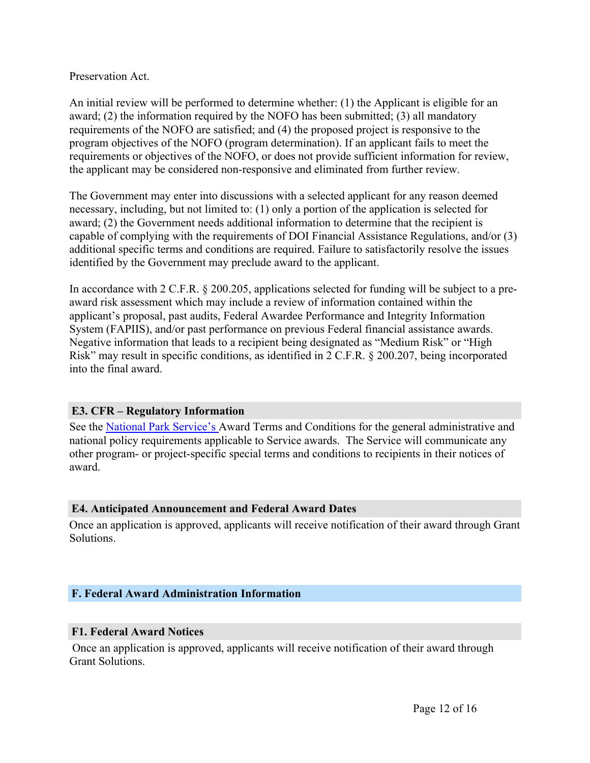Preservation Act.

An initial review will be performed to determine whether: (1) the Applicant is eligible for an award; (2) the information required by the NOFO has been submitted; (3) all mandatory requirements of the NOFO are satisfied; and (4) the proposed project is responsive to the program objectives of the NOFO (program determination). If an applicant fails to meet the requirements or objectives of the NOFO, or does not provide sufficient information for review, the applicant may be considered non-responsive and eliminated from further review.

The Government may enter into discussions with a selected applicant for any reason deemed necessary, including, but not limited to: (1) only a portion of the application is selected for award; (2) the Government needs additional information to determine that the recipient is capable of complying with the requirements of DOI Financial Assistance Regulations, and/or (3) additional specific terms and conditions are required. Failure to satisfactorily resolve the issues identified by the Government may preclude award to the applicant.

In accordance with 2 C.F.R. § 200.205, applications selected for funding will be subject to a preaward risk assessment which may include a review of information contained within the applicant's proposal, past audits, Federal Awardee Performance and Integrity Information System (FAPIIS), and/or past performance on previous Federal financial assistance awards. Negative information that leads to a recipient being designated as "Medium Risk" or "High Risk" may result in specific conditions, as identified in 2 C.F.R. § 200.207, being incorporated into the final award.

## <span id="page-12-0"></span>**E3. CFR – Regulatory Information**

See the National Park [Service's](https://www.fws.gov/grants/index.html) Award Terms and Conditions for the general administrative and national policy requirements applicable to Service awards. The Service will communicate any other program- or project-specific special terms and conditions to recipients in their notices of award.

## <span id="page-12-1"></span>**E4. Anticipated Announcement and Federal Award Dates**

Once an application is approved, applicants will receive notification of their award through Grant **Solutions** 

## <span id="page-12-2"></span>**F. Federal Award Administration Information**

## <span id="page-12-3"></span>**F1. Federal Award Notices**

Once an application is approved, applicants will receive notification of their award through Grant Solutions.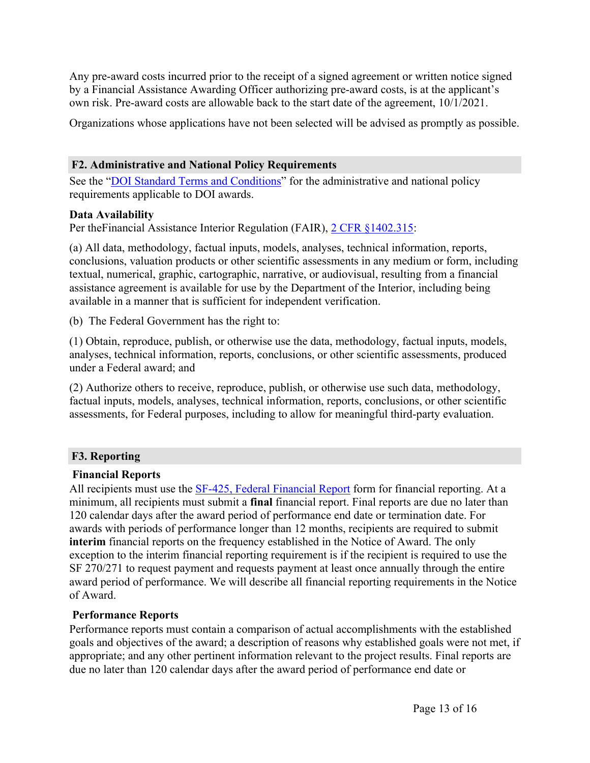Any pre-award costs incurred prior to the receipt of a signed agreement or written notice signed by a Financial Assistance Awarding Officer authorizing pre-award costs, is at the applicant's own risk. Pre-award costs are allowable back to the start date of the agreement, 10/1/2021.

Organizations whose applications have not been selected will be advised as promptly as possible.

# <span id="page-13-0"></span>**F2. Administrative and National Policy Requirements**

See the "DOI Standard Terms and [Conditions"](https://www.doi.gov/grants/doi-standard-terms-and-conditions) for the administrative and national policy requirements applicable to DOI awards.

## **Data Availability**

Per theFinancial Assistance Interior Regulation (FAIR), 2 CFR [§1402.315](https://www.ecfr.gov/current/title-2/subtitle-A/chapter-II/part-200/subpart-D/subject-group-ECFR8feb98c2e3e5ad2/section-200.315):

(a) All data, methodology, factual inputs, models, analyses, technical information, reports, conclusions, valuation products or other scientific assessments in any medium or form, including textual, numerical, graphic, cartographic, narrative, or audiovisual, resulting from a financial assistance agreement is available for use by the Department of the Interior, including being available in a manner that is sufficient for independent verification.

(b) The Federal Government has the right to:

(1) Obtain, reproduce, publish, or otherwise use the data, methodology, factual inputs, models, analyses, technical information, reports, conclusions, or other scientific assessments, produced under a Federal award; and

(2) Authorize others to receive, reproduce, publish, or otherwise use such data, methodology, factual inputs, models, analyses, technical information, reports, conclusions, or other scientific assessments, for Federal purposes, including to allow for meaningful third-party evaluation.

# <span id="page-13-1"></span>**F3. Reporting**

# **Financial Reports**

All recipients must use the **SF-425**, Federal [Financial](https://www.grants.gov/web/grants/forms/post-award-reporting-forms.html) Report form for financial reporting. At a minimum, all recipients must submit a **final** financial report. Final reports are due no later than 120 calendar days after the award period of performance end date or termination date. For awards with periods of performance longer than 12 months, recipients are required to submit **interim** financial reports on the frequency established in the Notice of Award. The only exception to the interim financial reporting requirement is if the recipient is required to use the SF 270/271 to request payment and requests payment at least once annually through the entire award period of performance. We will describe all financial reporting requirements in the Notice of Award.

# **Performance Reports**

Performance reports must contain a comparison of actual accomplishments with the established goals and objectives of the award; a description of reasons why established goals were not met, if appropriate; and any other pertinent information relevant to the project results. Final reports are due no later than 120 calendar days after the award period of performance end date or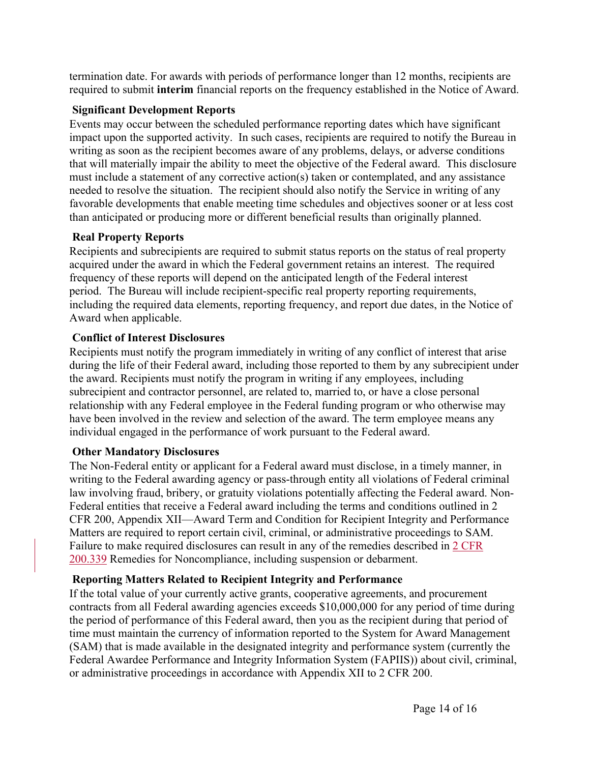termination date. For awards with periods of performance longer than 12 months, recipients are required to submit **interim** financial reports on the frequency established in the Notice of Award.

## **Significant Development Reports**

Events may occur between the scheduled performance reporting dates which have significant impact upon the supported activity. In such cases, recipients are required to notify the Bureau in writing as soon as the recipient becomes aware of any problems, delays, or adverse conditions that will materially impair the ability to meet the objective of the Federal award. This disclosure must include a statement of any corrective action(s) taken or contemplated, and any assistance needed to resolve the situation. The recipient should also notify the Service in writing of any favorable developments that enable meeting time schedules and objectives sooner or at less cost than anticipated or producing more or different beneficial results than originally planned.

# **Real Property Reports**

Recipients and subrecipients are required to submit status reports on the status of real property acquired under the award in which the Federal government retains an interest. The required frequency of these reports will depend on the anticipated length of the Federal interest period. The Bureau will include recipient-specific real property reporting requirements, including the required data elements, reporting frequency, and report due dates, in the Notice of Award when applicable.

# **Conflict of Interest Disclosures**

Recipients must notify the program immediately in writing of any conflict of interest that arise during the life of their Federal award, including those reported to them by any subrecipient under the award. Recipients must notify the program in writing if any employees, including subrecipient and contractor personnel, are related to, married to, or have a close personal relationship with any Federal employee in the Federal funding program or who otherwise may have been involved in the review and selection of the award. The term employee means any individual engaged in the performance of work pursuant to the Federal award.

# **Other Mandatory Disclosures**

The Non-Federal entity or applicant for a Federal award must disclose, in a timely manner, in writing to the Federal awarding agency or pass-through entity all violations of Federal criminal law involving fraud, bribery, or gratuity violations potentially affecting the Federal award. Non-Federal entities that receive a Federal award including the terms and conditions outlined in 2 CFR 200, Appendix XII—Award Term and Condition for Recipient Integrity and Performance Matters are required to report certain civil, criminal, or administrative proceedings to SAM. Failure to make required disclosures can result in any of the remedies described in 2 [CFR](https://www.ecfr.gov/cgi-bin/text-idx?SID=4772a9e79baa6af1caafa9c4a7782352&mc=true&node=pt2.1.200&rgn=div5#se2.1.200_1339) [200.339](https://www.ecfr.gov/cgi-bin/text-idx?SID=4772a9e79baa6af1caafa9c4a7782352&mc=true&node=pt2.1.200&rgn=div5#se2.1.200_1339) Remedies for Noncompliance, including suspension or debarment.

# **Reporting Matters Related to Recipient Integrity and Performance**

If the total value of your currently active grants, cooperative agreements, and procurement contracts from all Federal awarding agencies exceeds \$10,000,000 for any period of time during the period of performance of this Federal award, then you as the recipient during that period of time must maintain the currency of information reported to the System for Award Management (SAM) that is made available in the designated integrity and performance system (currently the Federal Awardee Performance and Integrity Information System (FAPIIS)) about civil, criminal, or administrative proceedings in accordance with Appendix XII to 2 CFR 200.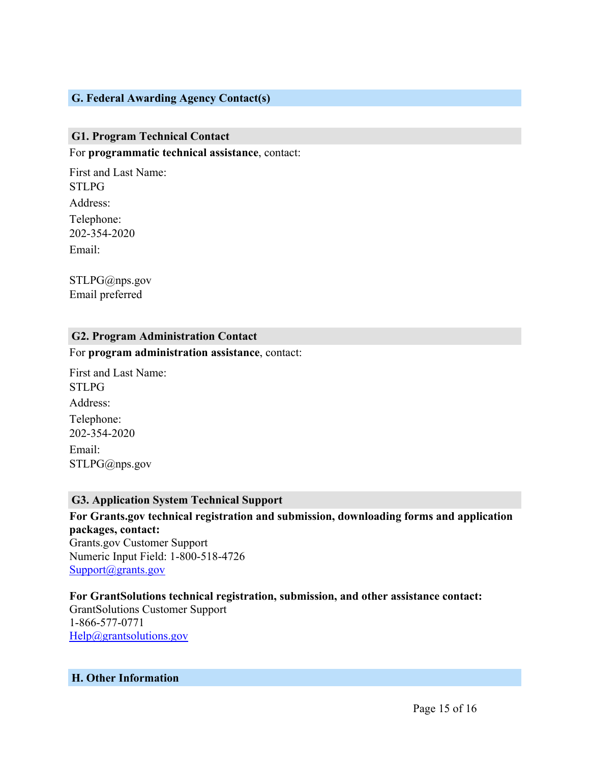## <span id="page-15-0"></span>**G. Federal Awarding Agency Contact(s)**

#### <span id="page-15-1"></span>**G1. Program Technical Contact**

For **programmatic technical assistance**, contact:

First and Last Name: STLPG Address: Telephone: 202-354-2020 Email:

STLPG@nps.gov Email preferred

#### <span id="page-15-2"></span>**G2. Program Administration Contact**

For **program administration assistance**, contact:

First and Last Name: STLPG Address: Telephone: 202-354-2020 Email: STLPG@nps.gov

#### <span id="page-15-3"></span>**G3. Application System Technical Support**

**For Grants.gov technical registration and submission, downloading forms and application packages, contact:** Grants.gov Customer Support Numeric Input Field: 1-800-518-4726 [Support@grants.gov](mailto:Support@grants.gov)

**For GrantSolutions technical registration, submission, and other assistance contact:** GrantSolutions Customer Support 1-866-577-0771 [Help@grantsolutions.gov](mailto:Help@grantsolutions.gov)

#### <span id="page-15-4"></span>**H. Other Information**